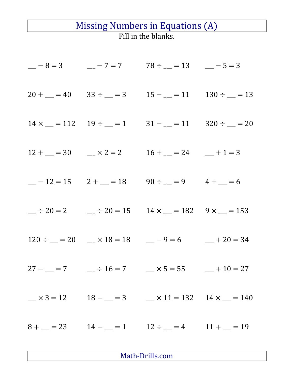## Missing Numbers in Equations (A) Fill in the blanks.

|  | $-8 = 3$ $-7 = 7$ $78 \div 1 = 13$ $-5 = 3$                                                                                                                             |  |
|--|-------------------------------------------------------------------------------------------------------------------------------------------------------------------------|--|
|  | $20 + \underline{\hspace{1cm}} = 40$ $33 \div \underline{\hspace{1cm}} = 3$ $15 - \underline{\hspace{1cm}} = 11$ $130 \div \underline{\hspace{1cm}} = 13$               |  |
|  | $14 \times \_ = 112$ $19 \div \_ = 1$ $31 - \_ = 11$ $320 \div \_ = 20$                                                                                                 |  |
|  | $12 + (-2) = 30$ $\qquad \times 2 = 2$ $16 + (-2) = 24$ $\qquad + 1 = 3$                                                                                                |  |
|  | $-12 = 15$ $2 + (-18) = 18$ $90 \div (-18) = 9$ $4 + (-18) = 6$                                                                                                         |  |
|  | $\frac{\text{m}}{\text{m}} \div 20 = 2$ $\frac{\text{m}}{\text{m}} \div 20 = 15$ $14 \times \frac{\text{m}}{\text{m}} = 182$ $9 \times \frac{\text{m}}{\text{m}} = 153$ |  |
|  | $120 \div \_\_ = 20$ $\_\_ \times 18 = 18$ $\_\_ -9 = 6$ $\_\_ + 20 = 34$                                                                                               |  |
|  | $27 - 7 = 7$ $-7 + 16 = 7$ $-7 = 55$ $-10 = 27$                                                                                                                         |  |
|  | $x = 3 = 12$ $18 - 3 = 3$ $x = 11 = 132$ $14 \times 1 = 140$                                                                                                            |  |
|  | $8 + \underline{\hspace{1cm}} = 23$ $14 - \underline{\hspace{1cm}} = 1$ $12 \div \underline{\hspace{1cm}} = 4$ $11 + \underline{\hspace{1cm}} = 19$                     |  |

Math-Drills.com